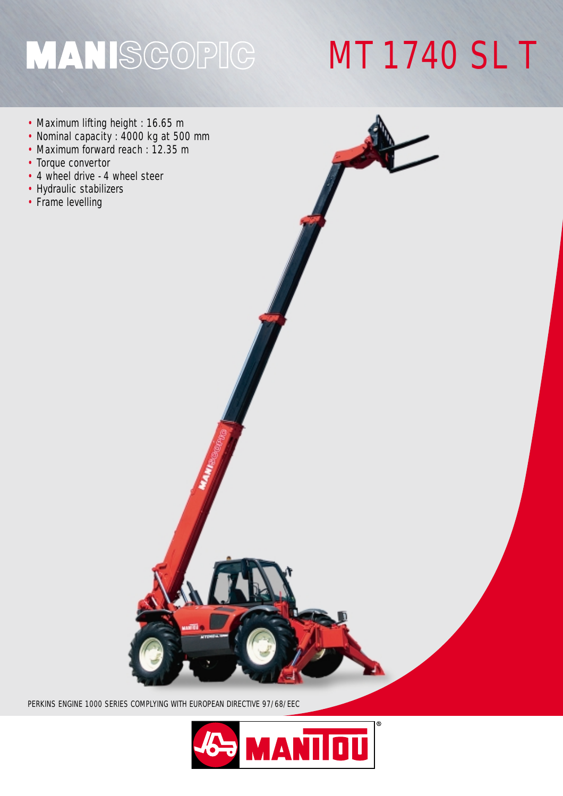## MANISGOPIG

## MT 1740 SL T

- Maximum lifting height : 16.65 m
- Nominal capacity : 4000 kg at 500 mm
- Maximum forward reach : 12.35 m
- Torque convertor
- 4 wheel drive 4 wheel steer
- Hydraulic stabilizers
- Frame levelling



PERKINS ENGINE 1000 SERIES COMPLYING WITH EUROPEAN DIRECTIVE 97/68/EEC